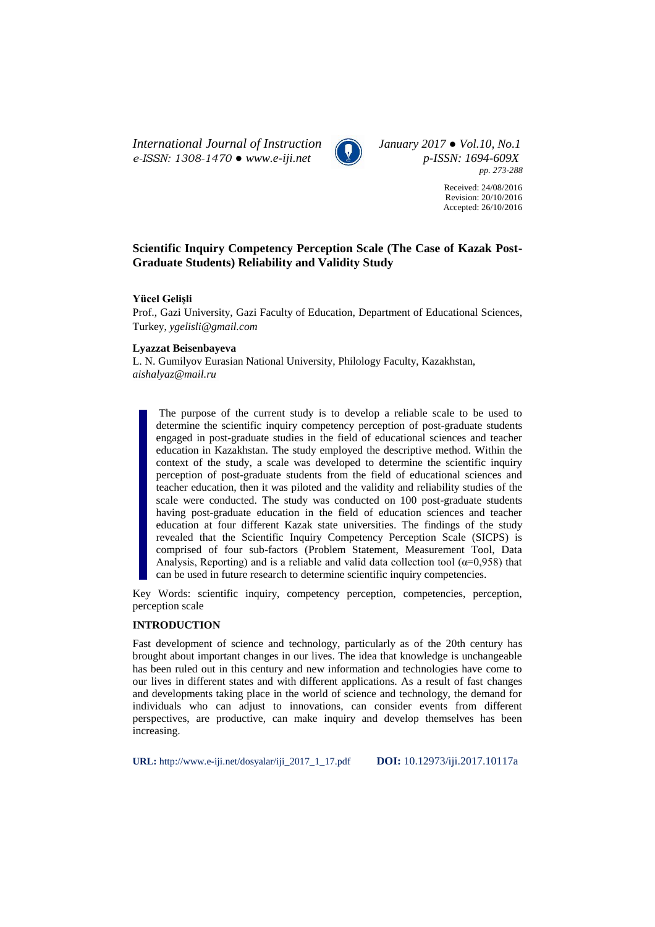*International Journal of Instruction January 2017 ● Vol.10, No.1 e-ISSN: 1308-1470 ● www.e-iji.net p-ISSN: 1694-609X*



*pp. 273-288*

Received: 24/08/2016 Revision: 20/10/2016 Accepted: 26/10/2016

# **Scientific Inquiry Competency Perception Scale (The Case of Kazak Post-Graduate Students) Reliability and Validity Study**

# **Yücel Gelişli**

Prof., Gazi University, Gazi Faculty of Education, Department of Educational Sciences, Turkey, *ygelisli@gmail.com*

## **Lyazzat Beisenbayeva**

L. N. Gumilyov Eurasian National University, Philology Faculty, Kazakhstan, *[aishalyaz@mail.ru](mailto:aishalyaz@mail.ru)*

The purpose of the current study is to develop a reliable scale to be used to determine the scientific inquiry competency perception of post-graduate students engaged in post-graduate studies in the field of educational sciences and teacher education in Kazakhstan. The study employed the descriptive method. Within the context of the study, a scale was developed to determine the scientific inquiry perception of post-graduate students from the field of educational sciences and teacher education, then it was piloted and the validity and reliability studies of the scale were conducted. The study was conducted on 100 post-graduate students having post-graduate education in the field of education sciences and teacher education at four different Kazak state universities. The findings of the study revealed that the Scientific Inquiry Competency Perception Scale (SICPS) is comprised of four sub-factors (Problem Statement, Measurement Tool, Data Analysis, Reporting) and is a reliable and valid data collection tool ( $\alpha$ =0,958) that can be used in future research to determine scientific inquiry competencies.

Key Words: scientific inquiry, competency perception, competencies, perception, perception scale

## **INTRODUCTION**

Fast development of science and technology, particularly as of the 20th century has brought about important changes in our lives. The idea that knowledge is unchangeable has been ruled out in this century and new information and technologies have come to our lives in different states and with different applications. As a result of fast changes and developments taking place in the world of science and technology, the demand for individuals who can adjust to innovations, can consider events from different perspectives, are productive, can make inquiry and develop themselves has been increasing.

**URL:** http://www.e-iji.net/dosyalar/iji\_2017\_1\_17.pdf **DOI:** 10.12973/iji.2017.10117a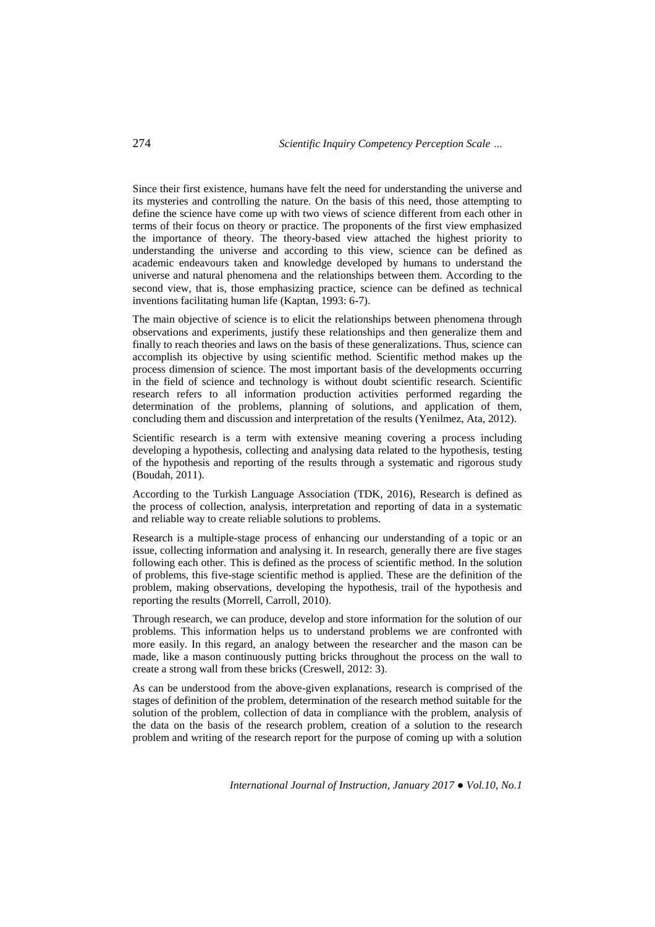Since their first existence, humans have felt the need for understanding the universe and its mysteries and controlling the nature. On the basis of this need, those attempting to define the science have come up with two views of science different from each other in terms of their focus on theory or practice. The proponents of the first view emphasized the importance of theory. The theory-based view attached the highest priority to understanding the universe and according to this view, science can be defined as academic endeavours taken and knowledge developed by humans to understand the universe and natural phenomena and the relationships between them. According to the second view, that is, those emphasizing practice, science can be defined as technical inventions facilitating human life (Kaptan, 1993: 6-7).

The main objective of science is to elicit the relationships between phenomena through observations and experiments, justify these relationships and then generalize them and finally to reach theories and laws on the basis of these generalizations. Thus, science can accomplish its objective by using scientific method. Scientific method makes up the process dimension of science. The most important basis of the developments occurring in the field of science and technology is without doubt scientific research. Scientific research refers to all information production activities performed regarding the determination of the problems, planning of solutions, and application of them, concluding them and discussion and interpretation of the results (Yenilmez, Ata, 2012).

Scientific research is a term with extensive meaning covering a process including developing a hypothesis, collecting and analysing data related to the hypothesis, testing of the hypothesis and reporting of the results through a systematic and rigorous study (Boudah, 2011).

According to the Turkish Language Association (TDK, 2016), Research is defined as the process of collection, analysis, interpretation and reporting of data in a systematic and reliable way to create reliable solutions to problems.

Research is a multiple-stage process of enhancing our understanding of a topic or an issue, collecting information and analysing it. In research, generally there are five stages following each other. This is defined as the process of scientific method. In the solution of problems, this five-stage scientific method is applied. These are the definition of the problem, making observations, developing the hypothesis, trail of the hypothesis and reporting the results (Morrell, Carroll, 2010).

Through research, we can produce, develop and store information for the solution of our problems. This information helps us to understand problems we are confronted with more easily. In this regard, an analogy between the researcher and the mason can be made, like a mason continuously putting bricks throughout the process on the wall to create a strong wall from these bricks (Creswell, 2012: 3).

As can be understood from the above-given explanations, research is comprised of the stages of definition of the problem, determination of the research method suitable for the solution of the problem, collection of data in compliance with the problem, analysis of the data on the basis of the research problem, creation of a solution to the research problem and writing of the research report for the purpose of coming up with a solution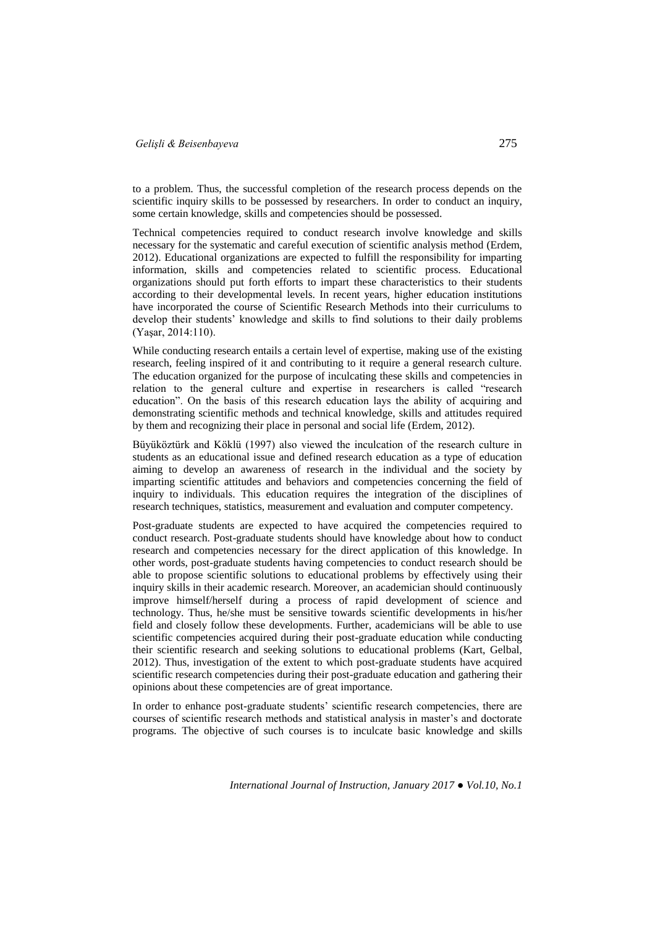to a problem. Thus, the successful completion of the research process depends on the scientific inquiry skills to be possessed by researchers. In order to conduct an inquiry, some certain knowledge, skills and competencies should be possessed.

Technical competencies required to conduct research involve knowledge and skills necessary for the systematic and careful execution of scientific analysis method (Erdem, 2012). Educational organizations are expected to fulfill the responsibility for imparting information, skills and competencies related to scientific process. Educational organizations should put forth efforts to impart these characteristics to their students according to their developmental levels. In recent years, higher education institutions have incorporated the course of Scientific Research Methods into their curriculums to develop their students' knowledge and skills to find solutions to their daily problems (Yaşar, 2014:110).

While conducting research entails a certain level of expertise, making use of the existing research, feeling inspired of it and contributing to it require a general research culture. The education organized for the purpose of inculcating these skills and competencies in relation to the general culture and expertise in researchers is called "research education". On the basis of this research education lays the ability of acquiring and demonstrating scientific methods and technical knowledge, skills and attitudes required by them and recognizing their place in personal and social life (Erdem, 2012).

Büyüköztürk and Köklü (1997) also viewed the inculcation of the research culture in students as an educational issue and defined research education as a type of education aiming to develop an awareness of research in the individual and the society by imparting scientific attitudes and behaviors and competencies concerning the field of inquiry to individuals. This education requires the integration of the disciplines of research techniques, statistics, measurement and evaluation and computer competency.

Post-graduate students are expected to have acquired the competencies required to conduct research. Post-graduate students should have knowledge about how to conduct research and competencies necessary for the direct application of this knowledge. In other words, post-graduate students having competencies to conduct research should be able to propose scientific solutions to educational problems by effectively using their inquiry skills in their academic research. Moreover, an academician should continuously improve himself/herself during a process of rapid development of science and technology. Thus, he/she must be sensitive towards scientific developments in his/her field and closely follow these developments. Further, academicians will be able to use scientific competencies acquired during their post-graduate education while conducting their scientific research and seeking solutions to educational problems (Kart, Gelbal, 2012). Thus, investigation of the extent to which post-graduate students have acquired scientific research competencies during their post-graduate education and gathering their opinions about these competencies are of great importance.

In order to enhance post-graduate students' scientific research competencies, there are courses of scientific research methods and statistical analysis in master's and doctorate programs. The objective of such courses is to inculcate basic knowledge and skills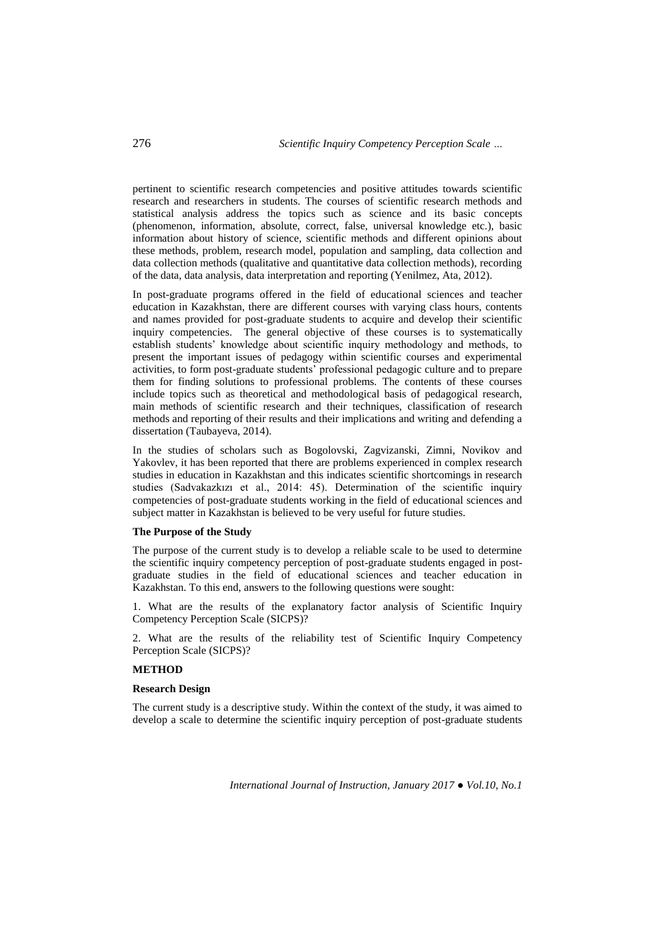pertinent to scientific research competencies and positive attitudes towards scientific research and researchers in students. The courses of scientific research methods and statistical analysis address the topics such as science and its basic concepts (phenomenon, information, absolute, correct, false, universal knowledge etc.), basic information about history of science, scientific methods and different opinions about these methods, problem, research model, population and sampling, data collection and data collection methods (qualitative and quantitative data collection methods), recording of the data, data analysis, data interpretation and reporting (Yenilmez, Ata, 2012).

In post-graduate programs offered in the field of educational sciences and teacher education in Kazakhstan, there are different courses with varying class hours, contents and names provided for post-graduate students to acquire and develop their scientific inquiry competencies. The general objective of these courses is to systematically establish students' knowledge about scientific inquiry methodology and methods, to present the important issues of pedagogy within scientific courses and experimental activities, to form post-graduate students' professional pedagogic culture and to prepare them for finding solutions to professional problems. The contents of these courses include topics such as theoretical and methodological basis of pedagogical research, main methods of scientific research and their techniques, classification of research methods and reporting of their results and their implications and writing and defending a dissertation (Taubayeva, 2014).

In the studies of scholars such as Bogolovski, Zagvizanski, Zimni, Novikov and Yakovlev, it has been reported that there are problems experienced in complex research studies in education in Kazakhstan and this indicates scientific shortcomings in research studies (Sadvakazkızı et al., 2014: 45). Determination of the scientific inquiry competencies of post-graduate students working in the field of educational sciences and subject matter in Kazakhstan is believed to be very useful for future studies.

### **The Purpose of the Study**

The purpose of the current study is to develop a reliable scale to be used to determine the scientific inquiry competency perception of post-graduate students engaged in postgraduate studies in the field of educational sciences and teacher education in Kazakhstan. To this end, answers to the following questions were sought:

1. What are the results of the explanatory factor analysis of Scientific Inquiry Competency Perception Scale (SICPS)?

2. What are the results of the reliability test of Scientific Inquiry Competency Perception Scale (SICPS)?

# **METHOD**

### **Research Design**

The current study is a descriptive study. Within the context of the study, it was aimed to develop a scale to determine the scientific inquiry perception of post-graduate students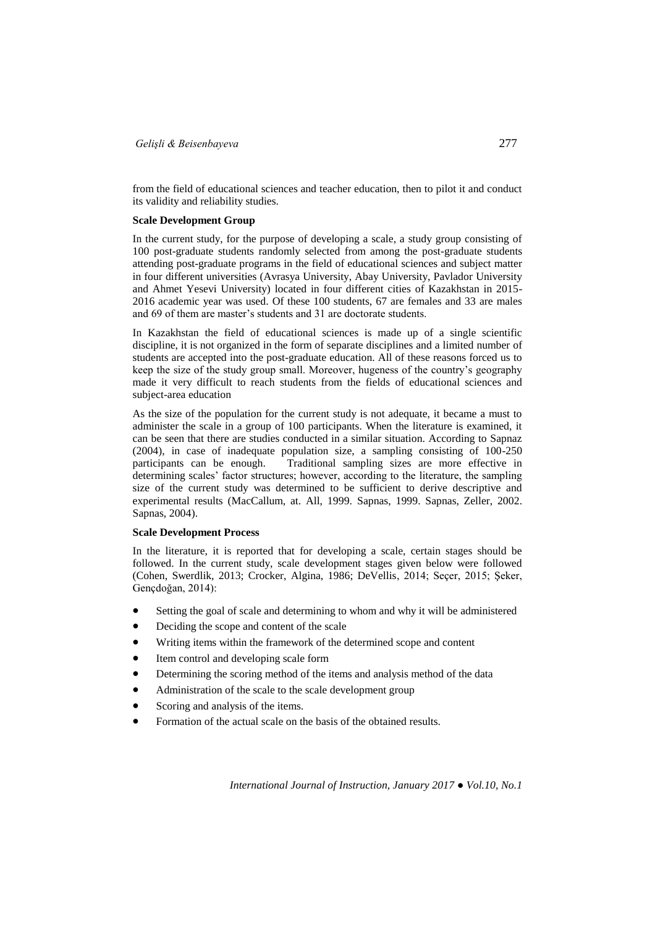from the field of educational sciences and teacher education, then to pilot it and conduct its validity and reliability studies.

### **Scale Development Group**

In the current study, for the purpose of developing a scale, a study group consisting of 100 post-graduate students randomly selected from among the post-graduate students attending post-graduate programs in the field of educational sciences and subject matter in four different universities (Avrasya University, Abay University, Pavlador University and Ahmet Yesevi University) located in four different cities of Kazakhstan in 2015- 2016 academic year was used. Of these 100 students, 67 are females and 33 are males and 69 of them are master's students and 31 are doctorate students.

In Kazakhstan the field of educational sciences is made up of a single scientific discipline, it is not organized in the form of separate disciplines and a limited number of students are accepted into the post-graduate education. All of these reasons forced us to keep the size of the study group small. Moreover, hugeness of the country's geography made it very difficult to reach students from the fields of educational sciences and subject-area education

As the size of the population for the current study is not adequate, it became a must to administer the scale in a group of 100 participants. When the literature is examined, it can be seen that there are studies conducted in a similar situation. According to Sapnaz (2004), in case of inadequate population size, a sampling consisting of 100-250 Traditional sampling sizes are more effective in determining scales' factor structures; however, according to the literature, the sampling size of the current study was determined to be sufficient to derive descriptive and experimental results (MacCallum, at. All, 1999. Sapnas, 1999. Sapnas, Zeller, 2002. Sapnas, 2004).

## **Scale Development Process**

In the literature, it is reported that for developing a scale, certain stages should be followed. In the current study, scale development stages given below were followed (Cohen, Swerdlik, 2013; Crocker, Algina, 1986; DeVellis, 2014; Seçer, 2015; Şeker, Gençdoğan, 2014):

- Setting the goal of scale and determining to whom and why it will be administered
- Deciding the scope and content of the scale
- Writing items within the framework of the determined scope and content
- Item control and developing scale form
- Determining the scoring method of the items and analysis method of the data
- Administration of the scale to the scale development group
- Scoring and analysis of the items.
- Formation of the actual scale on the basis of the obtained results.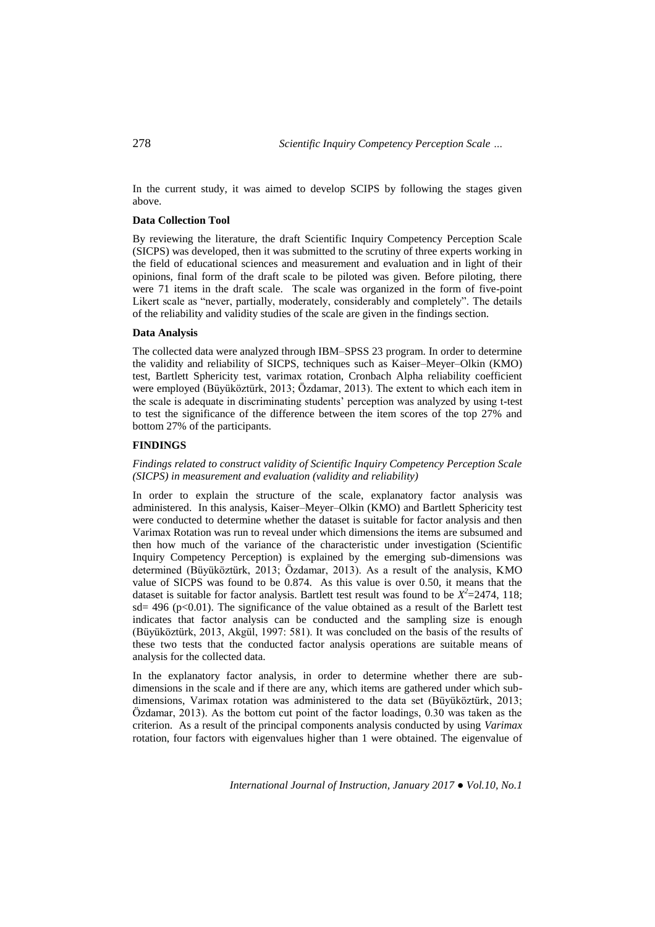In the current study, it was aimed to develop SCIPS by following the stages given above.

### **Data Collection Tool**

By reviewing the literature, the draft Scientific Inquiry Competency Perception Scale (SICPS) was developed, then it was submitted to the scrutiny of three experts working in the field of educational sciences and measurement and evaluation and in light of their opinions, final form of the draft scale to be piloted was given. Before piloting, there were 71 items in the draft scale. The scale was organized in the form of five-point Likert scale as "never, partially, moderately, considerably and completely". The details of the reliability and validity studies of the scale are given in the findings section.

### **Data Analysis**

The collected data were analyzed through IBM–SPSS 23 program. In order to determine the validity and reliability of SICPS, techniques such as Kaiser–Meyer–Olkin (KMO) test, Bartlett Sphericity test, varimax rotation, Cronbach Alpha reliability coefficient were employed (Büyüköztürk, 2013; Özdamar, 2013). The extent to which each item in the scale is adequate in discriminating students' perception was analyzed by using t-test to test the significance of the difference between the item scores of the top 27% and bottom 27% of the participants.

### **FINDINGS**

# *Findings related to construct validity of Scientific Inquiry Competency Perception Scale (SICPS) in measurement and evaluation (validity and reliability)*

In order to explain the structure of the scale, explanatory factor analysis was administered. In this analysis, Kaiser–Meyer–Olkin (KMO) and Bartlett Sphericity test were conducted to determine whether the dataset is suitable for factor analysis and then Varimax Rotation was run to reveal under which dimensions the items are subsumed and then how much of the variance of the characteristic under investigation (Scientific Inquiry Competency Perception) is explained by the emerging sub-dimensions was determined (Büyüköztürk, 2013; Özdamar, 2013). As a result of the analysis, KMO value of SICPS was found to be 0.874. As this value is over 0.50, it means that the dataset is suitable for factor analysis. Bartlett test result was found to be  $X^2 = 2474$ , 118; sd= 496 ( $p$ <0.01). The significance of the value obtained as a result of the Barlett test indicates that factor analysis can be conducted and the sampling size is enough (Büyüköztürk, 2013, Akgül, 1997: 581). It was concluded on the basis of the results of these two tests that the conducted factor analysis operations are suitable means of analysis for the collected data.

In the explanatory factor analysis, in order to determine whether there are subdimensions in the scale and if there are any, which items are gathered under which subdimensions, Varimax rotation was administered to the data set (Büyüköztürk, 2013; Özdamar, 2013). As the bottom cut point of the factor loadings, 0.30 was taken as the criterion. As a result of the principal components analysis conducted by using *Varimax*  rotation, four factors with eigenvalues higher than 1 were obtained. The eigenvalue of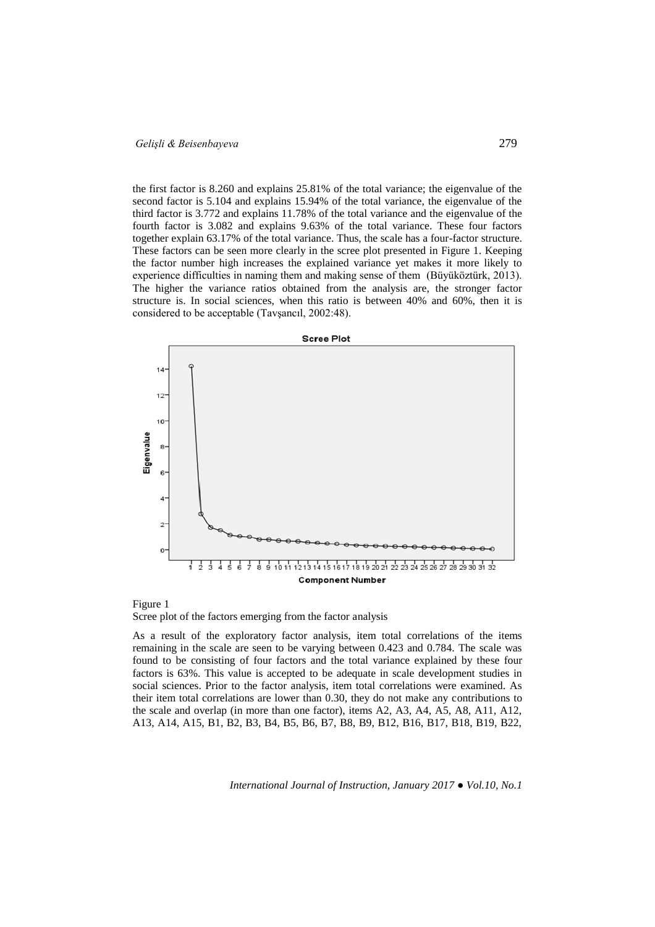the first factor is 8.260 and explains 25.81% of the total variance; the eigenvalue of the second factor is 5.104 and explains 15.94% of the total variance, the eigenvalue of the third factor is 3.772 and explains 11.78% of the total variance and the eigenvalue of the fourth factor is 3.082 and explains 9.63% of the total variance. These four factors together explain 63.17% of the total variance. Thus, the scale has a four-factor structure. These factors can be seen more clearly in the scree plot presented in Figure 1. Keeping the factor number high increases the explained variance yet makes it more likely to experience difficulties in naming them and making sense of them (Büyüköztürk, 2013). The higher the variance ratios obtained from the analysis are, the stronger factor structure is. In social sciences, when this ratio is between 40% and 60%, then it is considered to be acceptable (Tavşancıl, 2002:48).



Figure 1 Scree plot of the factors emerging from the factor analysis

As a result of the exploratory factor analysis, item total correlations of the items remaining in the scale are seen to be varying between 0.423 and 0.784. The scale was found to be consisting of four factors and the total variance explained by these four factors is 63%. This value is accepted to be adequate in scale development studies in social sciences. Prior to the factor analysis, item total correlations were examined. As their item total correlations are lower than 0.30, they do not make any contributions to the scale and overlap (in more than one factor), items A2, A3, A4, A5, A8, A11, A12, A13, A14, A15, B1, B2, B3, B4, B5, B6, B7, B8, B9, B12, B16, B17, B18, B19, B22,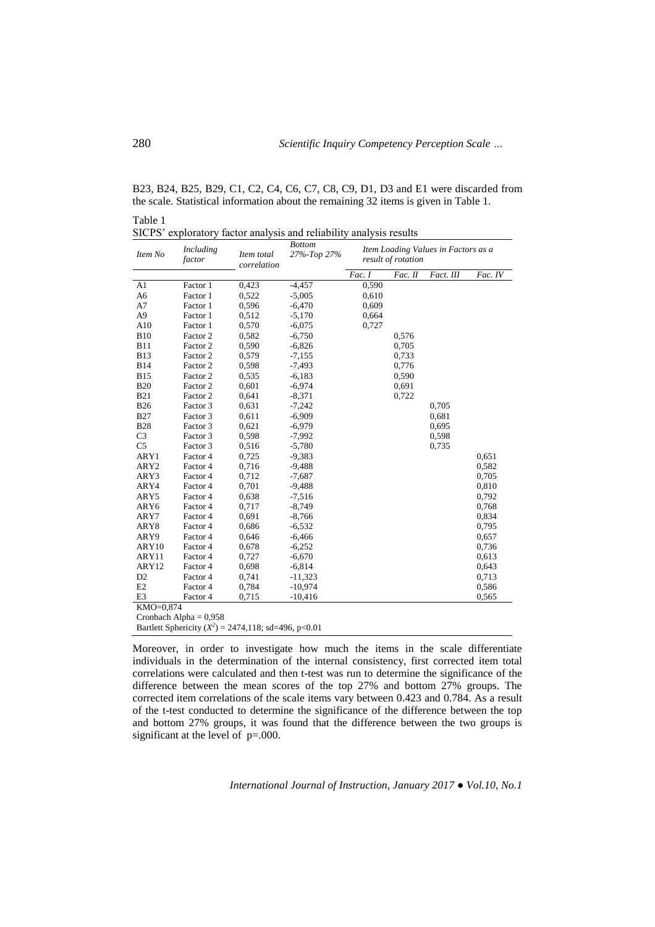B23, B24, B25, B29, C1, C2, C4, C6, C7, C8, C9, D1, D3 and E1 were discarded from the scale. Statistical information about the remaining 32 items is given in Table 1.

| Item No          | Including<br>factor      | Item total<br>correlation                               | <b>Bottom</b><br>27%-Top 27% | Item Loading Values in Factors as a<br>result of rotation |         |           |         |  |
|------------------|--------------------------|---------------------------------------------------------|------------------------------|-----------------------------------------------------------|---------|-----------|---------|--|
|                  |                          |                                                         |                              | Fac. 1                                                    | Fac. II | Fact. III | Fac. IV |  |
| A1               | Factor 1                 | 0,423                                                   | $-4,457$                     | 0,590                                                     |         |           |         |  |
| A <sub>6</sub>   | Factor 1                 | 0,522                                                   | $-5,005$                     | 0,610                                                     |         |           |         |  |
| A7               | Factor 1                 | 0,596                                                   | $-6,470$                     | 0,609                                                     |         |           |         |  |
| A <sub>9</sub>   | Factor 1                 | 0,512                                                   | $-5,170$                     | 0,664                                                     |         |           |         |  |
| A10              | Factor 1                 | 0,570                                                   | $-6,075$                     | 0,727                                                     |         |           |         |  |
| <b>B10</b>       | Factor 2                 | 0,582                                                   | $-6,750$                     |                                                           | 0,576   |           |         |  |
| <b>B11</b>       | Factor 2                 | 0,590                                                   | $-6,826$                     |                                                           | 0,705   |           |         |  |
| <b>B13</b>       | Factor 2                 | 0,579                                                   | $-7,155$                     |                                                           | 0,733   |           |         |  |
| <b>B14</b>       | Factor 2                 | 0.598                                                   | $-7,493$                     |                                                           | 0,776   |           |         |  |
| <b>B15</b>       | Factor 2                 | 0,535                                                   | $-6,183$                     |                                                           | 0,590   |           |         |  |
| <b>B20</b>       | Factor 2                 | 0,601                                                   | $-6,974$                     |                                                           | 0,691   |           |         |  |
| <b>B21</b>       | Factor 2                 | 0,641                                                   | $-8,371$                     |                                                           | 0,722   |           |         |  |
| <b>B26</b>       | Factor 3                 | 0,631                                                   | $-7,242$                     |                                                           |         | 0,705     |         |  |
| <b>B27</b>       | Factor 3                 | 0,611                                                   | $-6,909$                     |                                                           |         | 0,681     |         |  |
| <b>B28</b>       | Factor 3                 | 0,621                                                   | $-6,979$                     |                                                           |         | 0,695     |         |  |
| C <sub>3</sub>   | Factor 3                 | 0,598                                                   | $-7,992$                     |                                                           |         | 0,598     |         |  |
| C <sub>5</sub>   | Factor 3                 | 0,516                                                   | $-5,780$                     |                                                           |         | 0,735     |         |  |
| ARY1             | Factor 4                 | 0.725                                                   | $-9,383$                     |                                                           |         |           | 0,651   |  |
| ARY <sub>2</sub> | Factor 4                 | 0,716                                                   | $-9,488$                     |                                                           |         |           | 0,582   |  |
| ARY3             | Factor 4                 | 0,712                                                   | $-7,687$                     |                                                           |         |           | 0,705   |  |
| ARY4             | Factor 4                 | 0,701                                                   | $-9,488$                     |                                                           |         |           | 0,810   |  |
| ARY5             | Factor 4                 | 0,638                                                   | $-7,516$                     |                                                           |         |           | 0,792   |  |
| ARY6             | Factor 4                 | 0,717                                                   | $-8,749$                     |                                                           |         |           | 0,768   |  |
| ARY7             | Factor 4                 | 0,691                                                   | $-8,766$                     |                                                           |         |           | 0,834   |  |
| ARY8             | Factor 4                 | 0,686                                                   | $-6,532$                     |                                                           |         |           | 0,795   |  |
| ARY9             | Factor 4                 | 0,646                                                   | $-6,466$                     |                                                           |         |           | 0,657   |  |
| ARY10            | Factor 4                 | 0.678                                                   | $-6,252$                     |                                                           |         |           | 0,736   |  |
| ARY11            | Factor 4                 | 0,727                                                   | $-6,670$                     |                                                           |         |           | 0,613   |  |
| ARY12            | Factor 4                 | 0,698                                                   | $-6,814$                     |                                                           |         |           | 0,643   |  |
| D <sub>2</sub>   | Factor 4                 | 0,741                                                   | $-11,323$                    |                                                           |         |           | 0,713   |  |
| E2               | Factor 4                 | 0,784                                                   | $-10,974$                    |                                                           |         |           | 0,586   |  |
| E3               | Factor 4                 | 0.715                                                   | $-10,416$                    |                                                           |         |           | 0,565   |  |
| KMO=0,874        |                          |                                                         |                              |                                                           |         |           |         |  |
|                  | Cronbach Alpha = $0,958$ |                                                         |                              |                                                           |         |           |         |  |
|                  |                          | Bartlett Sphericity $(X^2) = 2474,118$ ; sd=496, p<0.01 |                              |                                                           |         |           |         |  |

Moreover, in order to investigate how much the items in the scale differentiate individuals in the determination of the internal consistency, first corrected item total correlations were calculated and then t-test was run to determine the significance of the difference between the mean scores of the top 27% and bottom 27% groups. The corrected item correlations of the scale items vary between 0.423 and 0.784. As a result of the t-test conducted to determine the significance of the difference between the top and bottom 27% groups, it was found that the difference between the two groups is significant at the level of p=.000.

*International Journal of Instruction, January 2017 ● Vol.10, No.1*

Table 1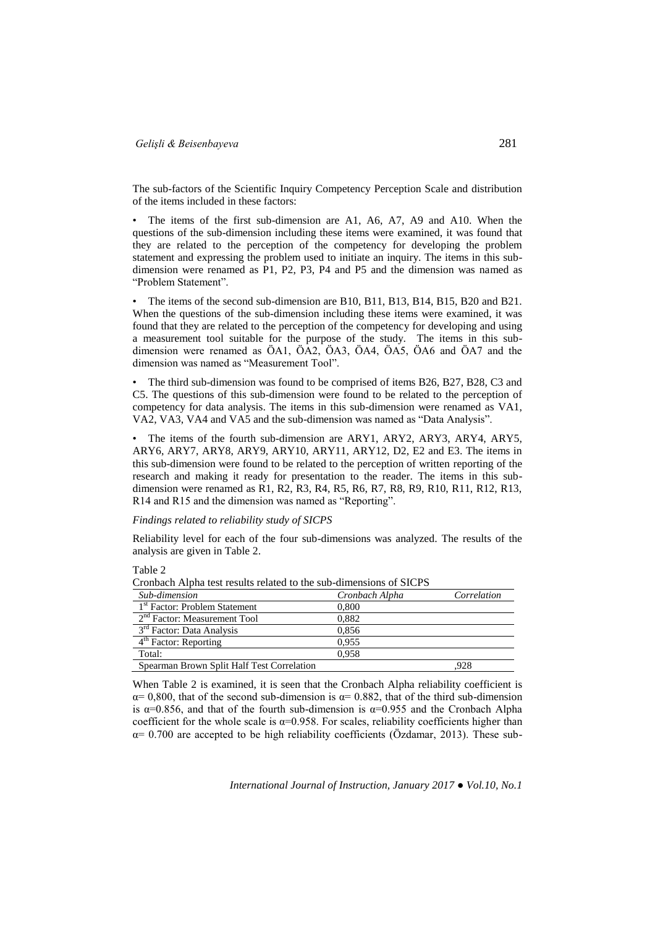The sub-factors of the Scientific Inquiry Competency Perception Scale and distribution of the items included in these factors:

The items of the first sub-dimension are A1, A6, A7, A9 and A10. When the questions of the sub-dimension including these items were examined, it was found that they are related to the perception of the competency for developing the problem statement and expressing the problem used to initiate an inquiry. The items in this subdimension were renamed as P1, P2, P3, P4 and P5 and the dimension was named as "Problem Statement".

• The items of the second sub-dimension are B10, B11, B13, B14, B15, B20 and B21. When the questions of the sub-dimension including these items were examined, it was found that they are related to the perception of the competency for developing and using a measurement tool suitable for the purpose of the study. The items in this subdimension were renamed as ÖA1, ÖA2, ÖA3, ÖA4, ÖA5, ÖA6 and ÖA7 and the dimension was named as "Measurement Tool".

• The third sub-dimension was found to be comprised of items B26, B27, B28, C3 and C5. The questions of this sub-dimension were found to be related to the perception of competency for data analysis. The items in this sub-dimension were renamed as VA1, VA2, VA3, VA4 and VA5 and the sub-dimension was named as "Data Analysis".

The items of the fourth sub-dimension are ARY1, ARY2, ARY3, ARY4, ARY5, ARY6, ARY7, ARY8, ARY9, ARY10, ARY11, ARY12, D2, E2 and E3. The items in this sub-dimension were found to be related to the perception of written reporting of the research and making it ready for presentation to the reader. The items in this subdimension were renamed as R1, R2, R3, R4, R5, R6, R7, R8, R9, R10, R11, R12, R13, R14 and R15 and the dimension was named as "Reporting".

### *Findings related to reliability study of SICPS*

Reliability level for each of the four sub-dimensions was analyzed. The results of the analysis are given in Table 2.

Table 2

| Sub-dimension                              | Cronbach Alpha | Correlation |
|--------------------------------------------|----------------|-------------|
| 1 <sup>st</sup> Factor: Problem Statement  | 0.800          |             |
| $2nd Factor$ : Measurement Tool            | 0.882          |             |
| 3 <sup>rd</sup> Factor: Data Analysis      | 0.856          |             |
| 4 <sup>th</sup> Factor: Reporting          | 0.955          |             |
| Total:                                     | 0.958          |             |
| Spearman Brown Split Half Test Correlation |                | .928        |

Cronbach Alpha test results related to the sub-dimensions of SICPS

When Table 2 is examined, it is seen that the Cronbach Alpha reliability coefficient is  $\alpha$  = 0,800, that of the second sub-dimension is  $\alpha$  = 0.882, that of the third sub-dimension is  $\alpha$ =0.856, and that of the fourth sub-dimension is  $\alpha$ =0.955 and the Cronbach Alpha coefficient for the whole scale is  $\alpha$ =0.958. For scales, reliability coefficients higher than  $\alpha$ = 0.700 are accepted to be high reliability coefficients (Özdamar, 2013). These sub-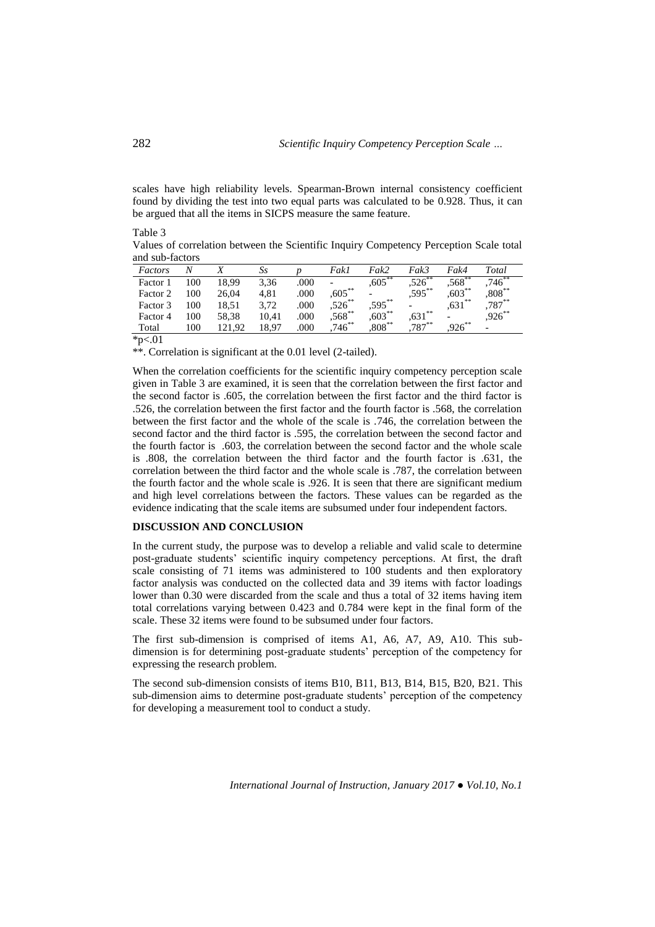scales have high reliability levels. Spearman-Brown internal consistency coefficient found by dividing the test into two equal parts was calculated to be 0.928. Thus, it can be argued that all the items in SICPS measure the same feature.

| Values of correlation between the Scientific Inquiry Competency Perception Scale total |  |
|----------------------------------------------------------------------------------------|--|
| and sub-factors                                                                        |  |

| Factors  | N   |        | Ss    |      | Fakl      | Fak2                     | Fak3                     | Fak4                     | Total     |
|----------|-----|--------|-------|------|-----------|--------------------------|--------------------------|--------------------------|-----------|
| Factor 1 | 100 | 18.99  | 3,36  | .000 | -         | $,605$ **                | $,526^\circ$             | $,568$ **                | $.746***$ |
| Factor 2 | 100 | 26.04  | 4.81  | .000 | $,605$ ** | $\overline{\phantom{0}}$ | $,595$ **                | $,603***$                | $,808***$ |
| Factor 3 | 100 | 18,51  | 3.72  | .000 | $,526$ ** | $,595***$                | $\overline{\phantom{0}}$ | $,631$ **                | $,787***$ |
| Factor 4 | 100 | 58,38  | 10.41 | .000 | $,568$ ** | $,603***$                | $,631$ **                | $\overline{\phantom{0}}$ | $,926$ ** |
| Total    | 100 | 121.92 | 18.97 | .000 | $.746***$ | $,808^{**}$              | $787***$                 | $.926***$                |           |

 $*p<.01$ 

\*\*. Correlation is significant at the 0.01 level (2-tailed).

When the correlation coefficients for the scientific inquiry competency perception scale given in Table 3 are examined, it is seen that the correlation between the first factor and the second factor is .605, the correlation between the first factor and the third factor is .526, the correlation between the first factor and the fourth factor is .568, the correlation between the first factor and the whole of the scale is .746, the correlation between the second factor and the third factor is .595, the correlation between the second factor and the fourth factor is .603, the correlation between the second factor and the whole scale is .808, the correlation between the third factor and the fourth factor is .631, the correlation between the third factor and the whole scale is .787, the correlation between the fourth factor and the whole scale is .926. It is seen that there are significant medium and high level correlations between the factors. These values can be regarded as the evidence indicating that the scale items are subsumed under four independent factors.

## **DISCUSSION AND CONCLUSION**

In the current study, the purpose was to develop a reliable and valid scale to determine post-graduate students' scientific inquiry competency perceptions. At first, the draft scale consisting of 71 items was administered to 100 students and then exploratory factor analysis was conducted on the collected data and 39 items with factor loadings lower than 0.30 were discarded from the scale and thus a total of 32 items having item total correlations varying between 0.423 and 0.784 were kept in the final form of the scale. These 32 items were found to be subsumed under four factors.

The first sub-dimension is comprised of items A1, A6, A7, A9, A10. This subdimension is for determining post-graduate students' perception of the competency for expressing the research problem.

The second sub-dimension consists of items B10, B11, B13, B14, B15, B20, B21. This sub-dimension aims to determine post-graduate students' perception of the competency for developing a measurement tool to conduct a study.

*International Journal of Instruction, January 2017 ● Vol.10, No.1*

Table 3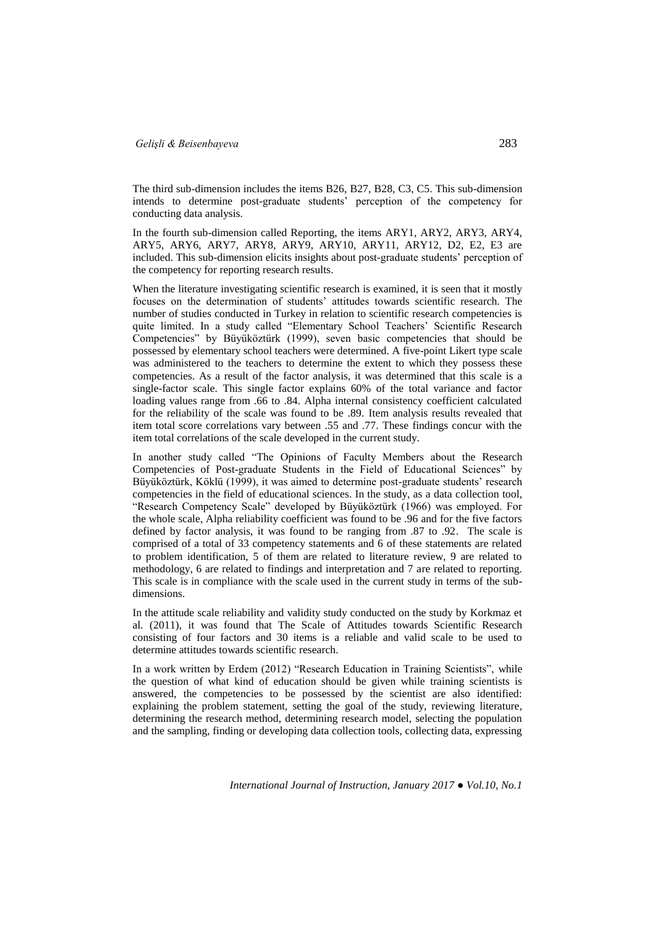The third sub-dimension includes the items B26, B27, B28, C3, C5. This sub-dimension intends to determine post-graduate students' perception of the competency for conducting data analysis.

In the fourth sub-dimension called Reporting, the items ARY1, ARY2, ARY3, ARY4, ARY5, ARY6, ARY7, ARY8, ARY9, ARY10, ARY11, ARY12, D2, E2, E3 are included. This sub-dimension elicits insights about post-graduate students' perception of the competency for reporting research results.

When the literature investigating scientific research is examined, it is seen that it mostly focuses on the determination of students' attitudes towards scientific research. The number of studies conducted in Turkey in relation to scientific research competencies is quite limited. In a study called "Elementary School Teachers' Scientific Research Competencies" by Büyüköztürk (1999), seven basic competencies that should be possessed by elementary school teachers were determined. A five-point Likert type scale was administered to the teachers to determine the extent to which they possess these competencies. As a result of the factor analysis, it was determined that this scale is a single-factor scale. This single factor explains 60% of the total variance and factor loading values range from .66 to .84. Alpha internal consistency coefficient calculated for the reliability of the scale was found to be .89. Item analysis results revealed that item total score correlations vary between .55 and .77. These findings concur with the item total correlations of the scale developed in the current study.

In another study called "The Opinions of Faculty Members about the Research Competencies of Post-graduate Students in the Field of Educational Sciences" by Büyüköztürk, Köklü (1999), it was aimed to determine post-graduate students' research competencies in the field of educational sciences. In the study, as a data collection tool, "Research Competency Scale" developed by Büyüköztürk (1966) was employed. For the whole scale, Alpha reliability coefficient was found to be .96 and for the five factors defined by factor analysis, it was found to be ranging from .87 to .92. The scale is comprised of a total of 33 competency statements and 6 of these statements are related to problem identification, 5 of them are related to literature review, 9 are related to methodology, 6 are related to findings and interpretation and 7 are related to reporting. This scale is in compliance with the scale used in the current study in terms of the subdimensions.

In the attitude scale reliability and validity study conducted on the study by Korkmaz et al. (2011), it was found that The Scale of Attitudes towards Scientific Research consisting of four factors and 30 items is a reliable and valid scale to be used to determine attitudes towards scientific research.

In a work written by Erdem (2012) "Research Education in Training Scientists", while the question of what kind of education should be given while training scientists is answered, the competencies to be possessed by the scientist are also identified: explaining the problem statement, setting the goal of the study, reviewing literature, determining the research method, determining research model, selecting the population and the sampling, finding or developing data collection tools, collecting data, expressing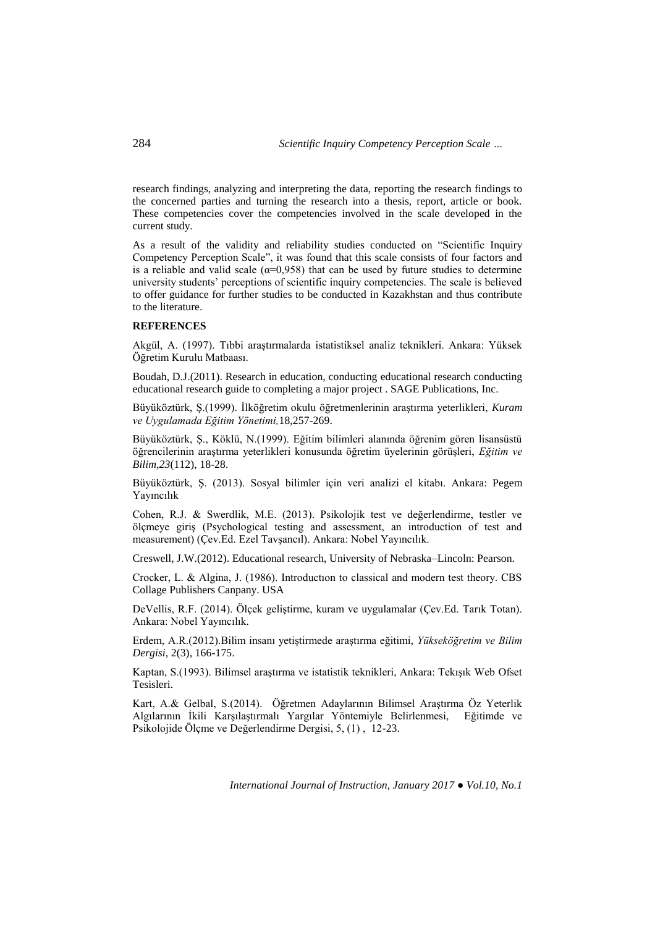research findings, analyzing and interpreting the data, reporting the research findings to the concerned parties and turning the research into a thesis, report, article or book. These competencies cover the competencies involved in the scale developed in the current study.

As a result of the validity and reliability studies conducted on "Scientific Inquiry Competency Perception Scale", it was found that this scale consists of four factors and is a reliable and valid scale ( $\alpha$ =0,958) that can be used by future studies to determine university students' perceptions of scientific inquiry competencies. The scale is believed to offer guidance for further studies to be conducted in Kazakhstan and thus contribute to the literature.

### **REFERENCES**

Akgül, A. (1997). Tıbbi araştırmalarda istatistiksel analiz teknikleri. Ankara: Yüksek Öğretim Kurulu Matbaası.

Boudah, D.J.(2011). Research in education, conducting educational research conducting educational research guide to completing a major project . SAGE Publications, Inc.

Büyüköztürk, Ş.(1999). İlköğretim okulu öğretmenlerinin araştırma yeterlikleri, *Kuram ve Uygulamada Eğitim Yönetimi,*18,257-269.

Büyüköztürk, Ş., Köklü, N.(1999). Eğitim bilimleri alanında öğrenim gören lisansüstü öğrencilerinin araştırma yeterlikleri konusunda öğretim üyelerinin görüşleri, *Eğitim ve Bilim,23*(112), 18-28.

Büyüköztürk, Ş. (2013). Sosyal bilimler için veri analizi el kitabı. Ankara: Pegem Yayıncılık

Cohen, R.J. & Swerdlik, M.E. (2013). Psikolojik test ve değerlendirme, testler ve ölçmeye giriş (Psychological testing and assessment, an introduction of test and measurement) (Çev.Ed. Ezel Tavşancıl). Ankara: Nobel Yayıncılık.

Creswell, J.W.(2012). Educational research, University of Nebraska–Lincoln: Pearson.

Crocker, L. & Algina, J. (1986). Introductıon to classical and modern test theory. CBS Collage Publishers Canpany. USA

DeVellis, R.F. (2014). Ölçek geliştirme, kuram ve uygulamalar (Çev.Ed. Tarık Totan). Ankara: Nobel Yayıncılık.

Erdem, A.R.(2012).Bilim insanı yetiştirmede araştırma eğitimi, *Yükseköğretim ve Bilim Dergisi*, 2(3), 166-175.

Kaptan, S.(1993). Bilimsel araştırma ve istatistik teknikleri, Ankara: Tekışık Web Ofset Tesisleri.

Kart, A.& Gelbal, S.(2014). Öğretmen Adaylarının Bilimsel Araştırma Öz Yeterlik Algılarının İkili Karşılaştırmalı Yargılar Yöntemiyle Belirlenmesi, Eğitimde ve Psikolojide Ölçme ve Değerlendirme Dergisi, 5, (1) , 12-23.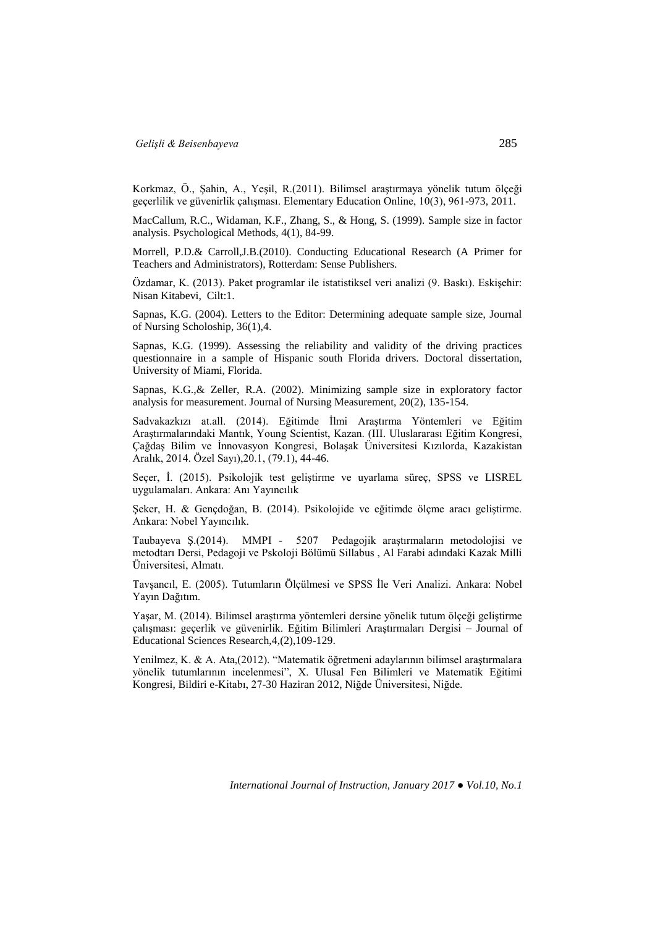Korkmaz, Ö., Şahin, A., Yeşil, R.(2011). Bilimsel araştırmaya yönelik tutum ölçeği geçerlilik ve güvenirlik çalışması. Elementary Education Online, 10(3), 961-973, 2011.

MacCallum, R.C., Widaman, K.F., Zhang, S., & Hong, S. (1999). Sample size in factor analysis. Psychological Methods, 4(1), 84-99.

Morrell, P.D.& Carroll,J.B.(2010). Conducting Educational Research (A Primer for Teachers and Administrators), Rotterdam: Sense Publishers.

Özdamar, K. (2013). Paket programlar ile istatistiksel veri analizi (9. Baskı). Eskişehir: Nisan Kitabevi, Cilt:1.

Sapnas, K.G. (2004). Letters to the Editor: Determining adequate sample size, Journal of Nursing Scholoship, 36(1),4.

Sapnas, K.G. (1999). Assessing the reliability and validity of the driving practices questionnaire in a sample of Hispanic south Florida drivers. Doctoral dissertation, University of Miami, Florida.

Sapnas, K.G.,& Zeller, R.A. (2002). Minimizing sample size in exploratory factor analysis for measurement. Journal of Nursing Measurement, 20(2), 135-154.

Sadvakazkızı at.all. (2014). Eğitimde İlmi Araştırma Yöntemleri ve Eğitim Araştırmalarındaki Mantık, Young Scientist, Kazan. (III. Uluslararası Eğitim Kongresi, Çağdaş Bilim ve İnnovasyon Kongresi, Bolaşak Üniversitesi Kızılorda, Kazakistan Aralık, 2014. Özel Sayı),20.1, (79.1), 44-46.

Seçer, İ. (2015). Psikolojik test geliştirme ve uyarlama süreç, SPSS ve LISREL uygulamaları. Ankara: Anı Yayıncılık

Şeker, H. & Gençdoğan, B. (2014). Psikolojide ve eğitimde ölçme aracı geliştirme. Ankara: Nobel Yayıncılık.

Taubayeva Ş.(2014). MMPI - 5207 Pedagojik araştırmaların metodolojisi ve metodtarı Dersi, Pedagoji ve Pskoloji Bölümü Sillabus , Al Farabi adındaki Kazak Milli Üniversitesi, Almatı.

Tavşancıl, E. (2005). Tutumların Ölçülmesi ve SPSS İle Veri Analizi. Ankara: Nobel Yayın Dağıtım.

Yaşar, M. (2014). Bilimsel araştırma yöntemleri dersine yönelik tutum ölçeği geliştirme çalışması: geçerlik ve güvenirlik. Eğitim Bilimleri Araştırmaları Dergisi – Journal of Educational Sciences Research,4,(2),109-129.

Yenilmez, K. & A. Ata,(2012). "Matematik öğretmeni adaylarının bilimsel araştırmalara yönelik tutumlarının incelenmesi", X. Ulusal Fen Bilimleri ve Matematik Eğitimi Kongresi, Bildiri e-Kitabı, 27-30 Haziran 2012, Niğde Üniversitesi, Niğde.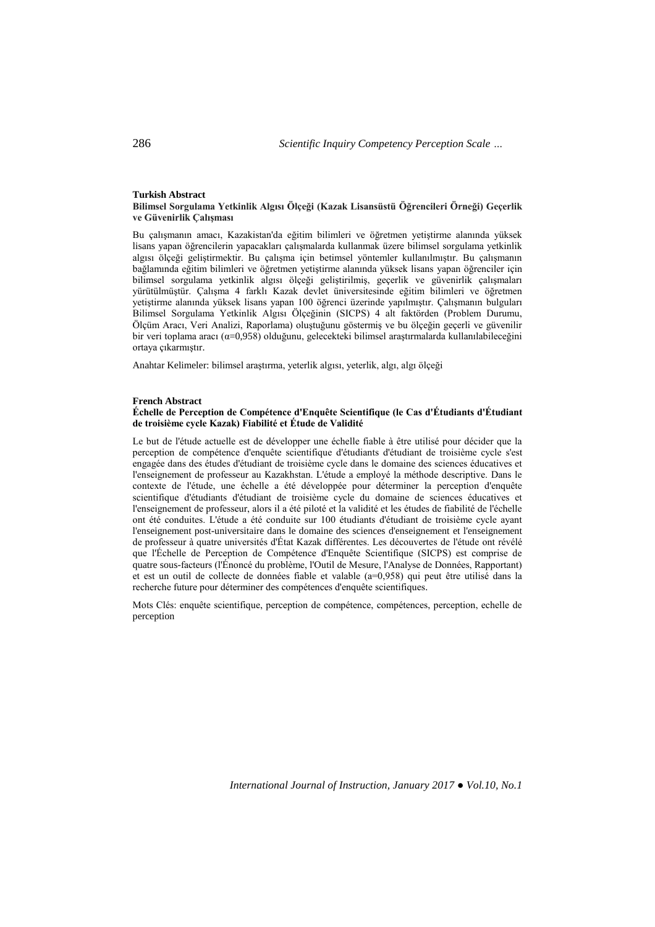#### **Turkish Abstract**

**Bilimsel Sorgulama Yetkinlik Algısı Ölçeği (Kazak Lisansüstü Öğrencileri Örneği) Geçerlik ve Güvenirlik Çalışması**

Bu çalışmanın amacı, Kazakistan'da eğitim bilimleri ve öğretmen yetiştirme alanında yüksek lisans yapan öğrencilerin yapacakları çalışmalarda kullanmak üzere bilimsel sorgulama yetkinlik algısı ölçeği geliştirmektir. Bu çalışma için betimsel yöntemler kullanılmıştır. Bu çalışmanın bağlamında eğitim bilimleri ve öğretmen yetiştirme alanında yüksek lisans yapan öğrenciler için bilimsel sorgulama yetkinlik algısı ölçeği geliştirilmiş, geçerlik ve güvenirlik çalışmaları yürütülmüştür. Çalışma 4 farklı Kazak devlet üniversitesinde eğitim bilimleri ve öğretmen yetiştirme alanında yüksek lisans yapan 100 öğrenci üzerinde yapılmıştır. Çalışmanın bulguları Bilimsel Sorgulama Yetkinlik Algısı Ölçeğinin (SICPS) 4 alt faktörden (Problem Durumu, Ölçüm Aracı, Veri Analizi, Raporlama) oluştuğunu göstermiş ve bu ölçeğin geçerli ve güvenilir bir veri toplama aracı (α=0,958) olduğunu, gelecekteki bilimsel araştırmalarda kullanılabileceğini ortaya çıkarmıştır.

Anahtar Kelimeler: bilimsel araştırma, yeterlik algısı, yeterlik, algı, algı ölçeği

#### **French Abstract**

### **Échelle de Perception de Compétence d'Enquête Scientifique (le Cas d'Étudiants d'Étudiant de troisième cycle Kazak) Fiabilité et Étude de Validité**

Le but de l'étude actuelle est de développer une échelle fiable à être utilisé pour décider que la perception de compétence d'enquête scientifique d'étudiants d'étudiant de troisième cycle s'est engagée dans des études d'étudiant de troisième cycle dans le domaine des sciences éducatives et l'enseignement de professeur au Kazakhstan. L'étude a employé la méthode descriptive. Dans le contexte de l'étude, une échelle a été développée pour déterminer la perception d'enquête scientifique d'étudiants d'étudiant de troisième cycle du domaine de sciences éducatives et l'enseignement de professeur, alors il a été piloté et la validité et les études de fiabilité de l'échelle ont été conduites. L'étude a été conduite sur 100 étudiants d'étudiant de troisième cycle ayant l'enseignement post-universitaire dans le domaine des sciences d'enseignement et l'enseignement de professeur à quatre universités d'État Kazak différentes. Les découvertes de l'étude ont révélé que l'Échelle de Perception de Compétence d'Enquête Scientifique (SICPS) est comprise de quatre sous-facteurs (l'Énoncé du problème, l'Outil de Mesure, l'Analyse de Données, Rapportant) et est un outil de collecte de données fiable et valable (a=0,958) qui peut être utilisé dans la recherche future pour déterminer des compétences d'enquête scientifiques.

Mots Clés: enquête scientifique, perception de compétence, compétences, perception, echelle de perception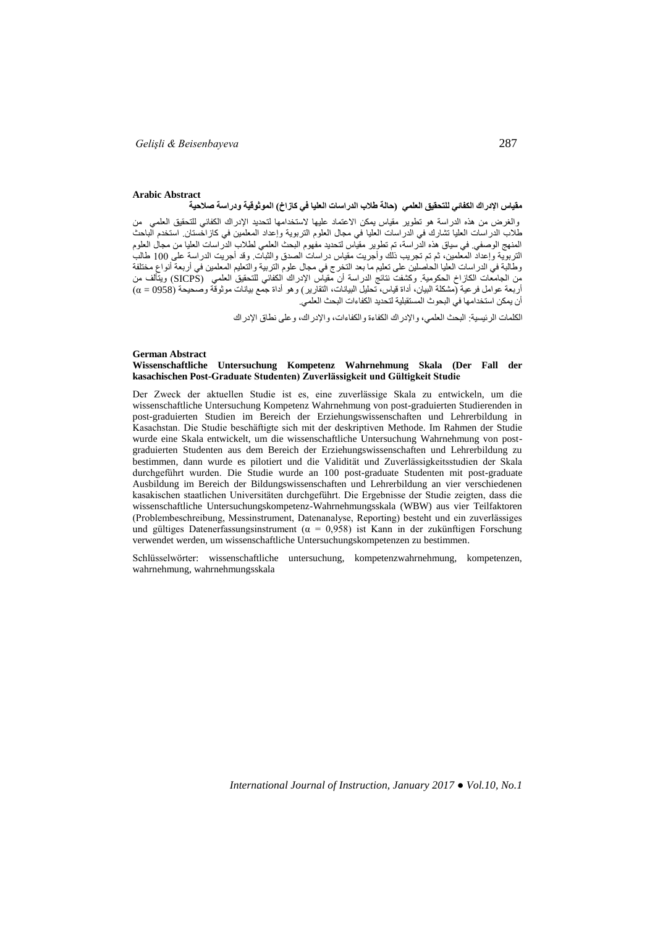#### **Arabic Abstract** مقياس الإدراك الكفائ*ي* للتحقيق العلمي (حالة طلاب الدراسات العليا في كازاخ) الموثوقية ودراسة صلاحية

والغرض من هذه الدراسة هو تطوير مقياس يمكن االعتماد عليها الستخدامها لتحديد اإلدراك الكفائي للتحقيق العلميمن طالب الدراسات العليا تشارك في الدراسات العليا في مجال العلوم التربوية وإعداد المعلمين في كازاخستان. استخدم الباحث المنهج الوصفي. في سياق هذه الدراسة، تم تطوير مقياس لتحديد مفهوم البحث العلمي لطالب الدراسات العليا من مجال العلوم التربوية وإعداد المعلمين، ثم تم تجريب ذلك وأجريت مقياس دراسات الصدق والثبات. وقد أجريت الدراسة على 011 طالب وطالبة في الدراسات العليا الحاصلين على تعليم ما بعد التخرج في مجال علوم التربية والتعليم المعلمين في أربعة أنواع مختلفة من الجامعات الكازاخ الحكومية. وكشفت نتائج الدراسة أن مقياس اإلدراك الكفائي للتحقيق العلمي)SICPS )ويتألف من أربعة عوامل فرعية (مشكلة البيان، أداة قياس، تحليل البيانات، التقارير) وهو أداة جمع بيانات موثوقة وصحيحة (0958 = α) أن يمكن استخدامها في البحوث المستقبلية لتحديد الكفاءات البحث العلمي.

الكلمات الرئيسية: البحث العلمي، واإلدراك الكفاءة والكفاءات، واإلدراك، وعلى نطاق اإلدراك

#### **German Abstract**

#### **Wissenschaftliche Untersuchung Kompetenz Wahrnehmung Skala (Der Fall der kasachischen Post-Graduate Studenten) Zuverlässigkeit und Gültigkeit Studie**

Der Zweck der aktuellen Studie ist es, eine zuverlässige Skala zu entwickeln, um die wissenschaftliche Untersuchung Kompetenz Wahrnehmung von post-graduierten Studierenden in post-graduierten Studien im Bereich der Erziehungswissenschaften und Lehrerbildung in Kasachstan. Die Studie beschäftigte sich mit der deskriptiven Methode. Im Rahmen der Studie wurde eine Skala entwickelt, um die wissenschaftliche Untersuchung Wahrnehmung von postgraduierten Studenten aus dem Bereich der Erziehungswissenschaften und Lehrerbildung zu bestimmen, dann wurde es pilotiert und die Validität und Zuverlässigkeitsstudien der Skala durchgeführt wurden. Die Studie wurde an 100 post-graduate Studenten mit post-graduate Ausbildung im Bereich der Bildungswissenschaften und Lehrerbildung an vier verschiedenen kasakischen staatlichen Universitäten durchgeführt. Die Ergebnisse der Studie zeigten, dass die wissenschaftliche Untersuchungskompetenz-Wahrnehmungsskala (WBW) aus vier Teilfaktoren (Problembeschreibung, Messinstrument, Datenanalyse, Reporting) besteht und ein zuverlässiges und gültiges Datenerfassungsinstrument ( $\alpha = 0.958$ ) ist Kann in der zukünftigen Forschung verwendet werden, um wissenschaftliche Untersuchungskompetenzen zu bestimmen.

Schlüsselwörter: wissenschaftliche untersuchung, kompetenzwahrnehmung, kompetenzen, wahrnehmung, wahrnehmungsskala